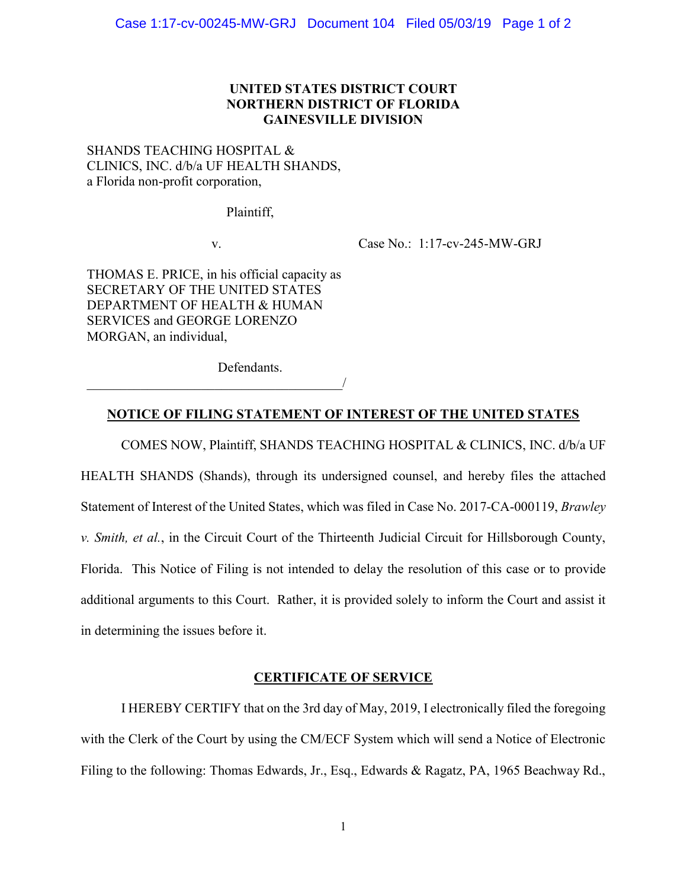# **UNITED STATES DISTRICT COURT NORTHERN DISTRICT OF FLORIDA GAINESVILLE DIVISION**

# SHANDS TEACHING HOSPITAL & CLINICS, INC. d/b/a UF HEALTH SHANDS, a Florida non-profit corporation,

Plaintiff,

v. Case No.: 1:17-cv-245-MW-GRJ

THOMAS E. PRICE, in his official capacity as SECRETARY OF THE UNITED STATES DEPARTMENT OF HEALTH & HUMAN SERVICES and GEORGE LORENZO MORGAN, an individual,

 $\overline{\phantom{a}}$ 

Defendants.

# **NOTICE OF FILING STATEMENT OF INTEREST OF THE UNITED STATES**

COMES NOW, Plaintiff, SHANDS TEACHING HOSPITAL & CLINICS, INC. d/b/a UF HEALTH SHANDS (Shands), through its undersigned counsel, and hereby files the attached Statement of Interest of the United States, which was filed in Case No. 2017-CA-000119, *Brawley v. Smith, et al.*, in the Circuit Court of the Thirteenth Judicial Circuit for Hillsborough County, Florida. This Notice of Filing is not intended to delay the resolution of this case or to provide additional arguments to this Court. Rather, it is provided solely to inform the Court and assist it in determining the issues before it.

## **CERTIFICATE OF SERVICE**

I HEREBY CERTIFY that on the 3rd day of May, 2019, I electronically filed the foregoing with the Clerk of the Court by using the CM/ECF System which will send a Notice of Electronic Filing to the following: Thomas Edwards, Jr., Esq., Edwards & Ragatz, PA, 1965 Beachway Rd.,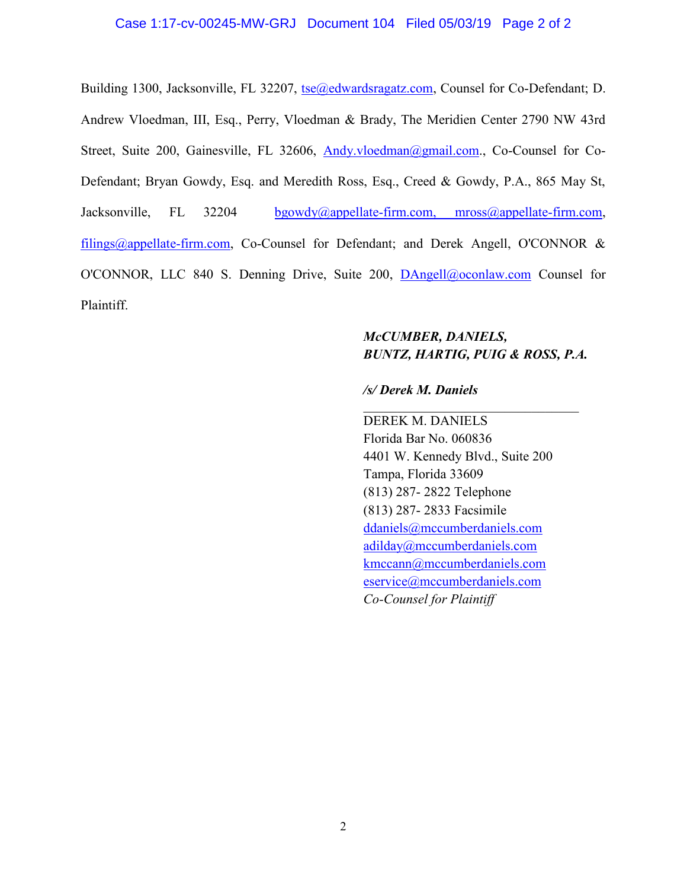## Case 1:17-cv-00245-MW-GRJ Document 104 Filed 05/03/19 Page 2 of 2

Building 1300, Jacksonville, FL 32207, tse@edwardsragatz.com, Counsel for Co-Defendant; D. Andrew Vloedman, III, Esq., Perry, Vloedman & Brady, The Meridien Center 2790 NW 43rd Street, Suite 200, Gainesville, FL 32606, Andy.vloedman@gmail.com., Co-Counsel for Co-Defendant; Bryan Gowdy, Esq. and Meredith Ross, Esq., Creed & Gowdy, P.A., 865 May St, Jacksonville, FL 32204 bgowdy@appellate-firm.com, mross@appellate-firm.com, filings@appellate-firm.com, Co-Counsel for Defendant; and Derek Angell, O'CONNOR & O'CONNOR, LLC 840 S. Denning Drive, Suite 200, DAngell@oconlaw.com Counsel for Plaintiff.

# *McCUMBER, DANIELS, BUNTZ, HARTIG, PUIG & ROSS, P.A.*

 $\mathcal{L}_\text{max}$ 

## */s/ Derek M. Daniels*

DEREK M. DANIELS Florida Bar No. 060836 4401 W. Kennedy Blvd., Suite 200 Tampa, Florida 33609 (813) 287- 2822 Telephone (813) 287- 2833 Facsimile ddaniels@mccumberdaniels.com adilday@mccumberdaniels.com kmccann@mccumberdaniels.com eservice@mccumberdaniels.com *Co-Counsel for Plaintiff*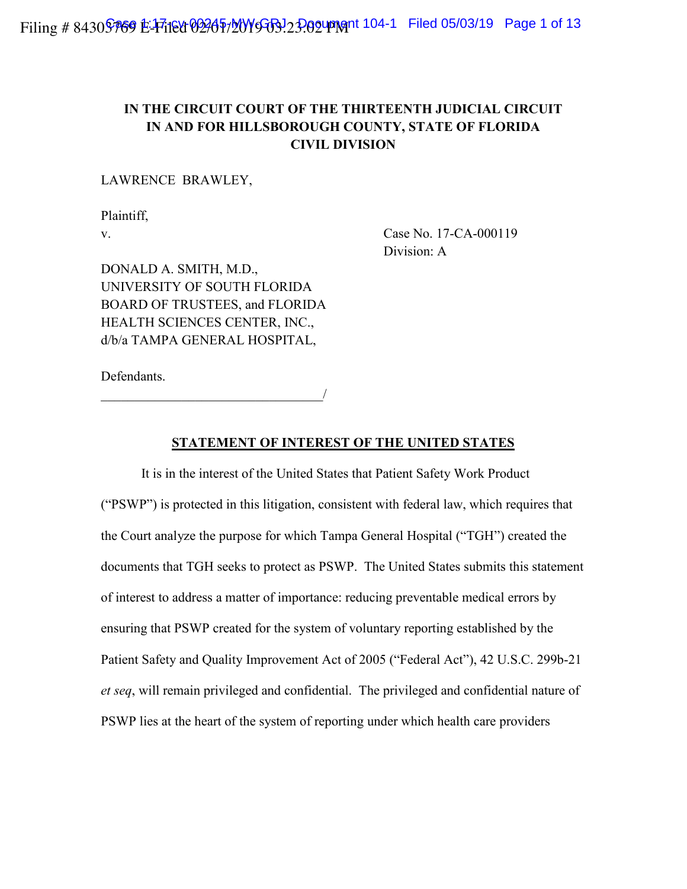# **IN THE CIRCUIT COURT OF THE THIRTEENTH JUDICIAL CIRCUIT IN AND FOR HILLSBOROUGH COUNTY, STATE OF FLORIDA CIVIL DIVISION**

LAWRENCE BRAWLEY,

Plaintiff,

v. Case No. 17-CA-000119 Division: A

DONALD A. SMITH, M.D., UNIVERSITY OF SOUTH FLORIDA BOARD OF TRUSTEES, and FLORIDA HEALTH SCIENCES CENTER, INC., d/b/a TAMPA GENERAL HOSPITAL,

Defendants.

 $\overline{\phantom{a}}$ 

## **STATEMENT OF INTEREST OF THE UNITED STATES**

It is in the interest of the United States that Patient Safety Work Product ("PSWP") is protected in this litigation, consistent with federal law, which requires that the Court analyze the purpose for which Tampa General Hospital ("TGH") created the documents that TGH seeks to protect as PSWP. The United States submits this statement of interest to address a matter of importance: reducing preventable medical errors by ensuring that PSWP created for the system of voluntary reporting established by the Patient Safety and Quality Improvement Act of 2005 ("Federal Act"), 42 U.S.C. 299b-21 *et seq*, will remain privileged and confidential. The privileged and confidential nature of PSWP lies at the heart of the system of reporting under which health care providers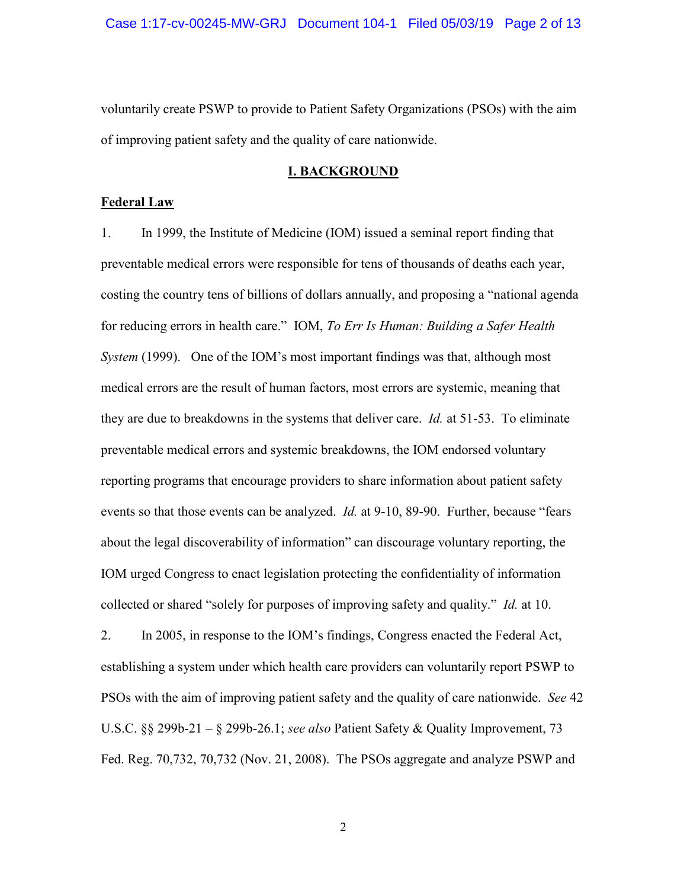voluntarily create PSWP to provide to Patient Safety Organizations (PSOs) with the aim of improving patient safety and the quality of care nationwide.

#### **I. BACKGROUND**

#### **Federal Law**

1. In 1999, the Institute of Medicine (IOM) issued a seminal report finding that preventable medical errors were responsible for tens of thousands of deaths each year, costing the country tens of billions of dollars annually, and proposing a "national agenda for reducing errors in health care." IOM, *To Err Is Human: Building a Safer Health System* (1999). One of the IOM's most important findings was that, although most medical errors are the result of human factors, most errors are systemic, meaning that they are due to breakdowns in the systems that deliver care. *Id.* at 51-53. To eliminate preventable medical errors and systemic breakdowns, the IOM endorsed voluntary reporting programs that encourage providers to share information about patient safety events so that those events can be analyzed. *Id.* at 9-10, 89-90. Further, because "fears about the legal discoverability of information" can discourage voluntary reporting, the IOM urged Congress to enact legislation protecting the confidentiality of information collected or shared "solely for purposes of improving safety and quality." *Id.* at 10.

2. In 2005, in response to the IOM's findings, Congress enacted the Federal Act, establishing a system under which health care providers can voluntarily report PSWP to PSOs with the aim of improving patient safety and the quality of care nationwide. *See* 42 U.S.C. §§ 299b-21 – § 299b-26.1; *see also* Patient Safety & Quality Improvement, 73 Fed. Reg. 70,732, 70,732 (Nov. 21, 2008). The PSOs aggregate and analyze PSWP and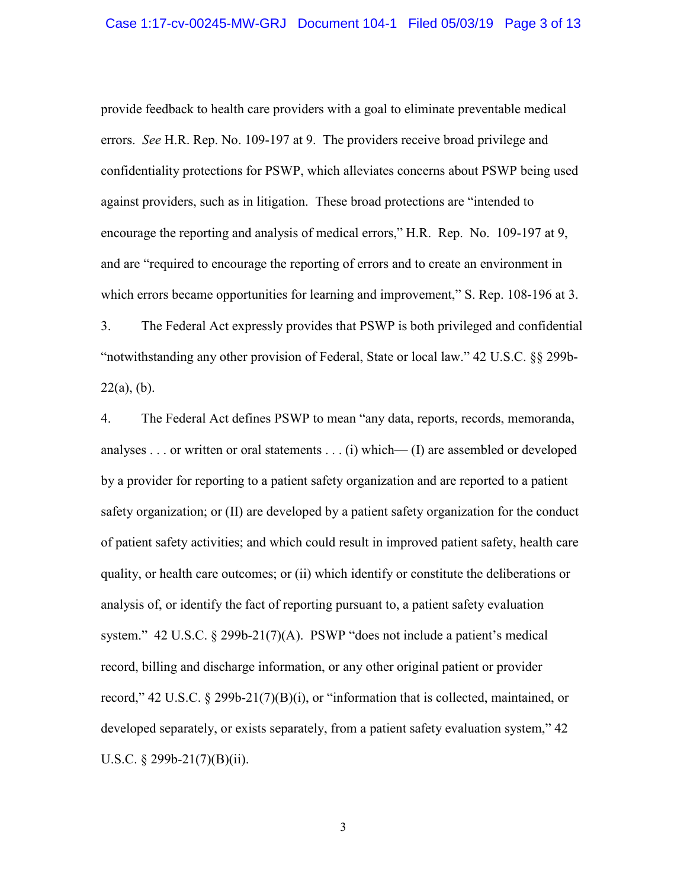#### Case 1:17-cv-00245-MW-GRJ Document 104-1 Filed 05/03/19 Page 3 of 13

provide feedback to health care providers with a goal to eliminate preventable medical errors. *See* H.R. Rep. No. 109-197 at 9. The providers receive broad privilege and confidentiality protections for PSWP, which alleviates concerns about PSWP being used against providers, such as in litigation. These broad protections are "intended to encourage the reporting and analysis of medical errors," H.R. Rep. No. 109-197 at 9, and are "required to encourage the reporting of errors and to create an environment in which errors became opportunities for learning and improvement," S. Rep. 108-196 at 3.

3. The Federal Act expressly provides that PSWP is both privileged and confidential "notwithstanding any other provision of Federal, State or local law." 42 U.S.C. §§ 299b- $22(a)$ , (b).

4. The Federal Act defines PSWP to mean "any data, reports, records, memoranda, analyses . . . or written or oral statements . . . (i) which— (I) are assembled or developed by a provider for reporting to a patient safety organization and are reported to a patient safety organization; or (II) are developed by a patient safety organization for the conduct of patient safety activities; and which could result in improved patient safety, health care quality, or health care outcomes; or (ii) which identify or constitute the deliberations or analysis of, or identify the fact of reporting pursuant to, a patient safety evaluation system." 42 U.S.C. § 299b-21(7)(A). PSWP "does not include a patient's medical record, billing and discharge information, or any other original patient or provider record," 42 U.S.C. § 299b-21(7)(B)(i), or "information that is collected, maintained, or developed separately, or exists separately, from a patient safety evaluation system," 42 U.S.C. § 299b-21(7)(B)(ii).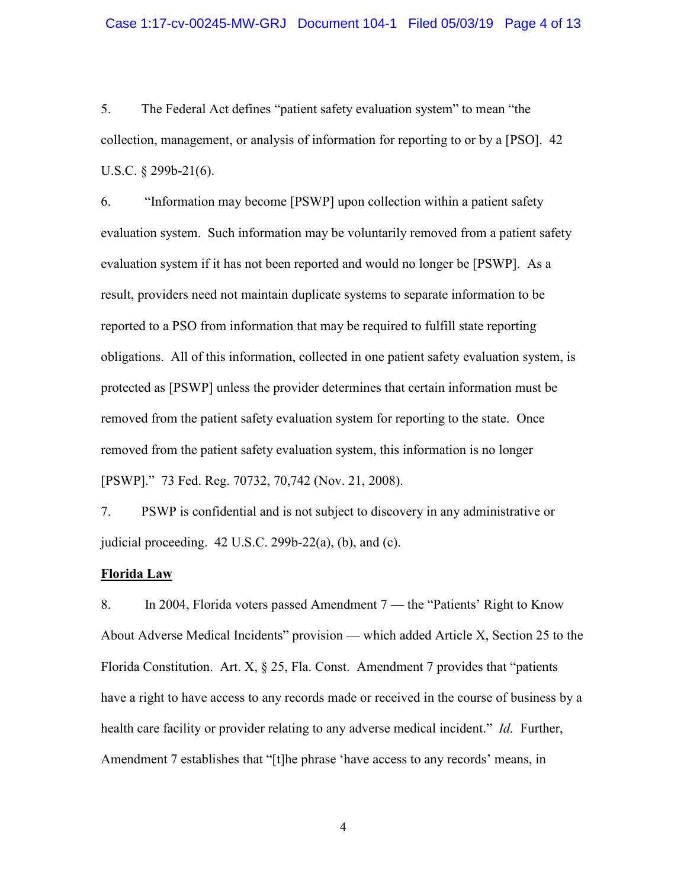### Case 1:17-cv-00245-MW-GRJ Document 104-1 Filed 05/03/19 Page 4 of 13

5. The Federal Act defines "patient safety evaluation system" to mean "the collection, management, or analysis of information for reporting to or by a [PSO]. 42 U.S.C. § 299b-21(6).

6. "Information may become [PSWP] upon collection within a patient safety evaluation system. Such information may be voluntarily removed from a patient safety evaluation system if it has not been reported and would no longer be [PSWP]. As a result, providers need not maintain duplicate systems to separate information to be reported to a PSO from information that may be required to fulfill state reporting obligations. All of this information, collected in one patient safety evaluation system, is protected as [PSWP] unless the provider determines that certain information must be removed from the patient safety evaluation system for reporting to the state. Once removed from the patient safety evaluation system, this information is no longer [PSWP]." 73 Fed. Reg. 70732, 70,742 (Nov. 21, 2008).

7. PSWP is confidential and is not subject to discovery in any administrative or judicial proceeding.  $42 \text{ U.S.C. } 299b-22(a)$ , (b), and (c).

## **Florida Law**

8. In 2004, Florida voters passed Amendment 7 — the "Patients' Right to Know About Adverse Medical Incidents" provision — which added Article X, Section 25 to the Florida Constitution. Art. X, § 25, Fla. Const. Amendment 7 provides that "patients have a right to have access to any records made or received in the course of business by a health care facility or provider relating to any adverse medical incident." *Id.* Further, Amendment 7 establishes that "[t]he phrase 'have access to any records' means, in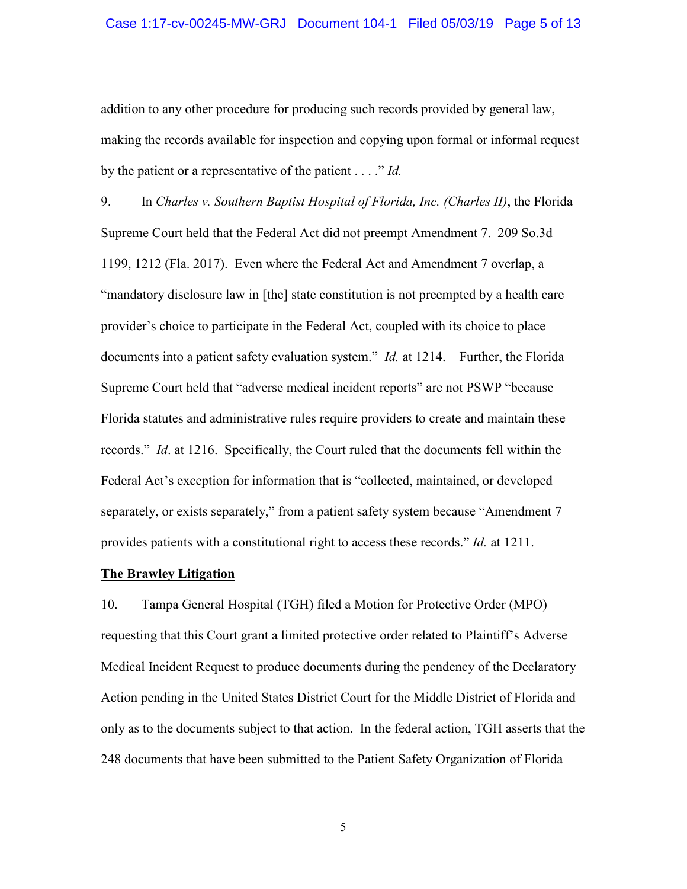### Case 1:17-cv-00245-MW-GRJ Document 104-1 Filed 05/03/19 Page 5 of 13

addition to any other procedure for producing such records provided by general law, making the records available for inspection and copying upon formal or informal request by the patient or a representative of the patient . . . ." *Id.*

9. In *Charles v. Southern Baptist Hospital of Florida, Inc. (Charles II)*, the Florida Supreme Court held that the Federal Act did not preempt Amendment 7. 209 So.3d 1199, 1212 (Fla. 2017). Even where the Federal Act and Amendment 7 overlap, a "mandatory disclosure law in [the] state constitution is not preempted by a health care provider's choice to participate in the Federal Act, coupled with its choice to place documents into a patient safety evaluation system." *Id.* at 1214. Further, the Florida Supreme Court held that "adverse medical incident reports" are not PSWP "because Florida statutes and administrative rules require providers to create and maintain these records." *Id*. at 1216. Specifically, the Court ruled that the documents fell within the Federal Act's exception for information that is "collected, maintained, or developed separately, or exists separately," from a patient safety system because "Amendment 7 provides patients with a constitutional right to access these records." *Id.* at 1211.

## **The Brawley Litigation**

10. Tampa General Hospital (TGH) filed a Motion for Protective Order (MPO) requesting that this Court grant a limited protective order related to Plaintiff's Adverse Medical Incident Request to produce documents during the pendency of the Declaratory Action pending in the United States District Court for the Middle District of Florida and only as to the documents subject to that action. In the federal action, TGH asserts that the 248 documents that have been submitted to the Patient Safety Organization of Florida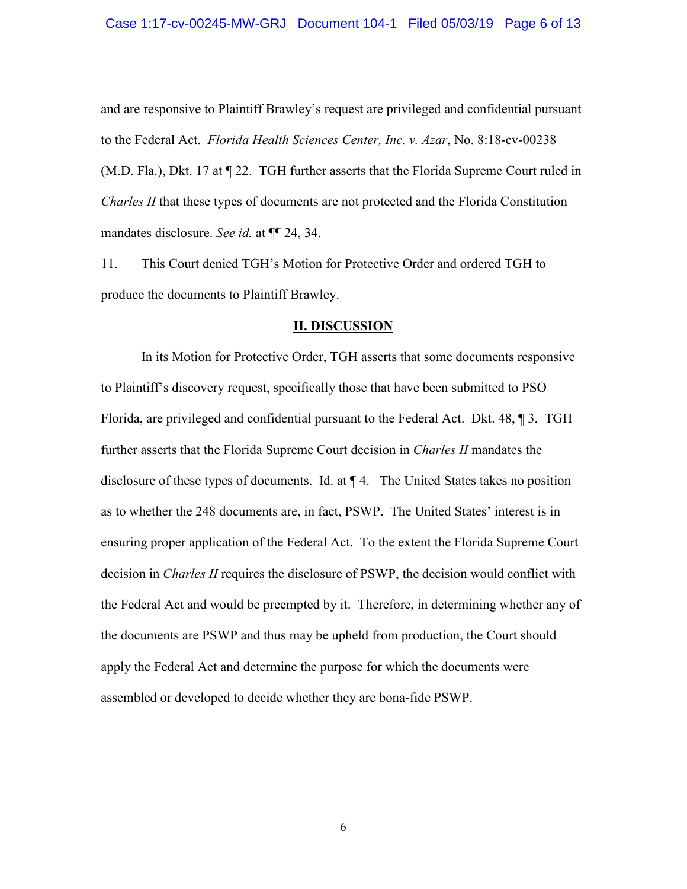and are responsive to Plaintiff Brawley's request are privileged and confidential pursuant to the Federal Act. *Florida Health Sciences Center, Inc. v. Azar*, No. 8:18-cv-00238 (M.D. Fla.), Dkt. 17 at ¶ 22. TGH further asserts that the Florida Supreme Court ruled in *Charles II* that these types of documents are not protected and the Florida Constitution mandates disclosure. *See id.* at ¶¶ 24, 34.

11. This Court denied TGH's Motion for Protective Order and ordered TGH to produce the documents to Plaintiff Brawley.

#### **II. DISCUSSION**

In its Motion for Protective Order, TGH asserts that some documents responsive to Plaintiff's discovery request, specifically those that have been submitted to PSO Florida, are privileged and confidential pursuant to the Federal Act. Dkt. 48, ¶ 3. TGH further asserts that the Florida Supreme Court decision in *Charles II* mandates the disclosure of these types of documents.  $\underline{Id}$  at  $\P$  4. The United States takes no position as to whether the 248 documents are, in fact, PSWP. The United States' interest is in ensuring proper application of the Federal Act. To the extent the Florida Supreme Court decision in *Charles II* requires the disclosure of PSWP, the decision would conflict with the Federal Act and would be preempted by it. Therefore, in determining whether any of the documents are PSWP and thus may be upheld from production, the Court should apply the Federal Act and determine the purpose for which the documents were assembled or developed to decide whether they are bona-fide PSWP.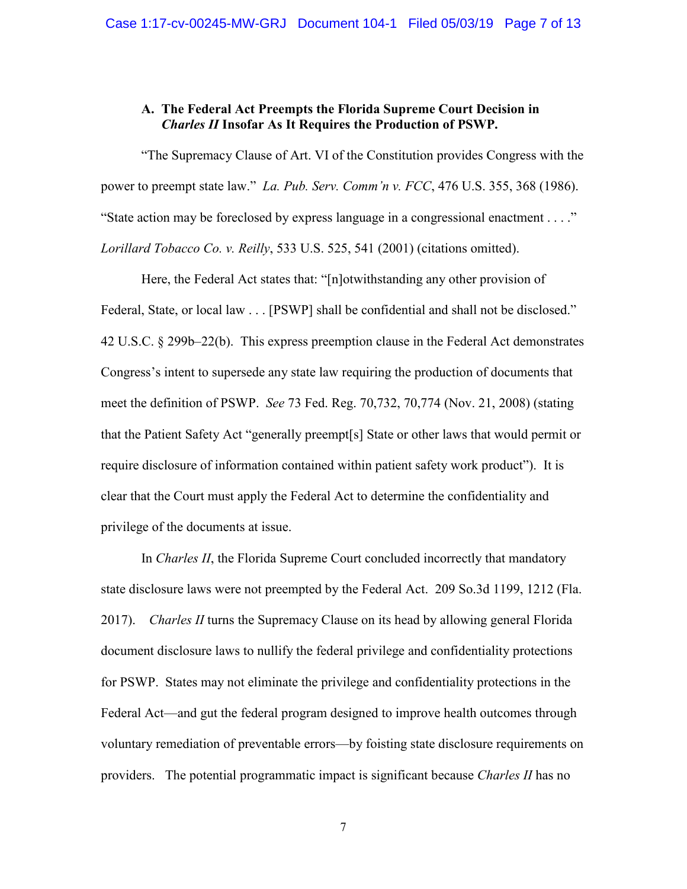# **A. The Federal Act Preempts the Florida Supreme Court Decision in**  *Charles II* **Insofar As It Requires the Production of PSWP.**

"The Supremacy Clause of Art. VI of the Constitution provides Congress with the power to preempt state law." *La. Pub. Serv. Comm'n v. FCC*, 476 U.S. 355, 368 (1986). "State action may be foreclosed by express language in a congressional enactment . . . ." *Lorillard Tobacco Co. v. Reilly*, 533 U.S. 525, 541 (2001) (citations omitted).

Here, the Federal Act states that: "[n]otwithstanding any other provision of Federal, State, or local law . . . [PSWP] shall be confidential and shall not be disclosed." 42 U.S.C. § 299b–22(b). This express preemption clause in the Federal Act demonstrates Congress's intent to supersede any state law requiring the production of documents that meet the definition of PSWP. *See* 73 Fed. Reg. 70,732, 70,774 (Nov. 21, 2008) (stating that the Patient Safety Act "generally preempt[s] State or other laws that would permit or require disclosure of information contained within patient safety work product"). It is clear that the Court must apply the Federal Act to determine the confidentiality and privilege of the documents at issue.

In *Charles II*, the Florida Supreme Court concluded incorrectly that mandatory state disclosure laws were not preempted by the Federal Act. 209 So.3d 1199, 1212 (Fla. 2017). *Charles II* turns the Supremacy Clause on its head by allowing general Florida document disclosure laws to nullify the federal privilege and confidentiality protections for PSWP. States may not eliminate the privilege and confidentiality protections in the Federal Act—and gut the federal program designed to improve health outcomes through voluntary remediation of preventable errors—by foisting state disclosure requirements on providers. The potential programmatic impact is significant because *Charles II* has no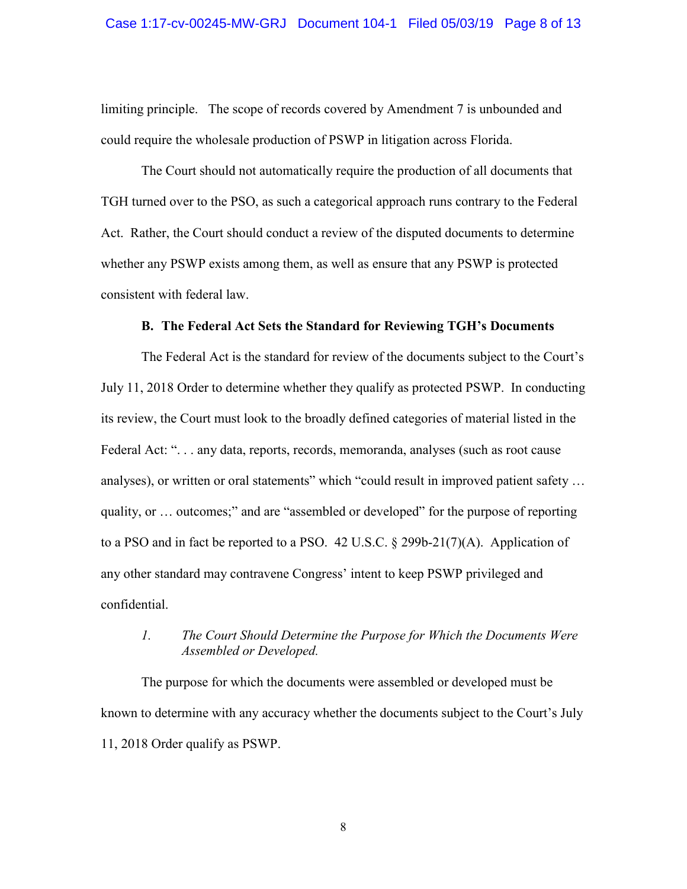### Case 1:17-cv-00245-MW-GRJ Document 104-1 Filed 05/03/19 Page 8 of 13

limiting principle. The scope of records covered by Amendment 7 is unbounded and could require the wholesale production of PSWP in litigation across Florida.

The Court should not automatically require the production of all documents that TGH turned over to the PSO, as such a categorical approach runs contrary to the Federal Act. Rather, the Court should conduct a review of the disputed documents to determine whether any PSWP exists among them, as well as ensure that any PSWP is protected consistent with federal law.

#### **B. The Federal Act Sets the Standard for Reviewing TGH's Documents**

The Federal Act is the standard for review of the documents subject to the Court's July 11, 2018 Order to determine whether they qualify as protected PSWP. In conducting its review, the Court must look to the broadly defined categories of material listed in the Federal Act: ". . . any data, reports, records, memoranda, analyses (such as root cause analyses), or written or oral statements" which "could result in improved patient safety … quality, or … outcomes;" and are "assembled or developed" for the purpose of reporting to a PSO and in fact be reported to a PSO. 42 U.S.C. § 299b-21(7)(A). Application of any other standard may contravene Congress' intent to keep PSWP privileged and confidential.

# *1. The Court Should Determine the Purpose for Which the Documents Were Assembled or Developed.*

The purpose for which the documents were assembled or developed must be known to determine with any accuracy whether the documents subject to the Court's July 11, 2018 Order qualify as PSWP.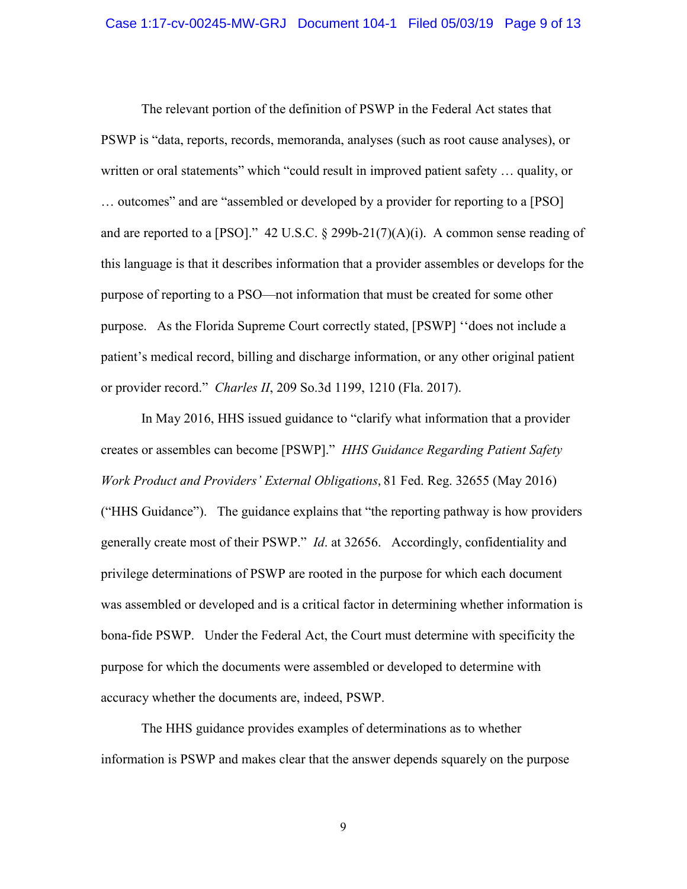The relevant portion of the definition of PSWP in the Federal Act states that PSWP is "data, reports, records, memoranda, analyses (such as root cause analyses), or written or oral statements" which "could result in improved patient safety … quality, or … outcomes" and are "assembled or developed by a provider for reporting to a [PSO] and are reported to a [PSO]."  $42$  U.S.C. § 299b-21(7)(A)(i). A common sense reading of this language is that it describes information that a provider assembles or develops for the purpose of reporting to a PSO—not information that must be created for some other purpose. As the Florida Supreme Court correctly stated, [PSWP] ''does not include a patient's medical record, billing and discharge information, or any other original patient or provider record." *Charles II*, 209 So.3d 1199, 1210 (Fla. 2017).

In May 2016, HHS issued guidance to "clarify what information that a provider creates or assembles can become [PSWP]." *HHS Guidance Regarding Patient Safety Work Product and Providers' External Obligations*, 81 Fed. Reg. 32655 (May 2016) ("HHS Guidance"). The guidance explains that "the reporting pathway is how providers generally create most of their PSWP." *Id*. at 32656. Accordingly, confidentiality and privilege determinations of PSWP are rooted in the purpose for which each document was assembled or developed and is a critical factor in determining whether information is bona-fide PSWP. Under the Federal Act, the Court must determine with specificity the purpose for which the documents were assembled or developed to determine with accuracy whether the documents are, indeed, PSWP.

The HHS guidance provides examples of determinations as to whether information is PSWP and makes clear that the answer depends squarely on the purpose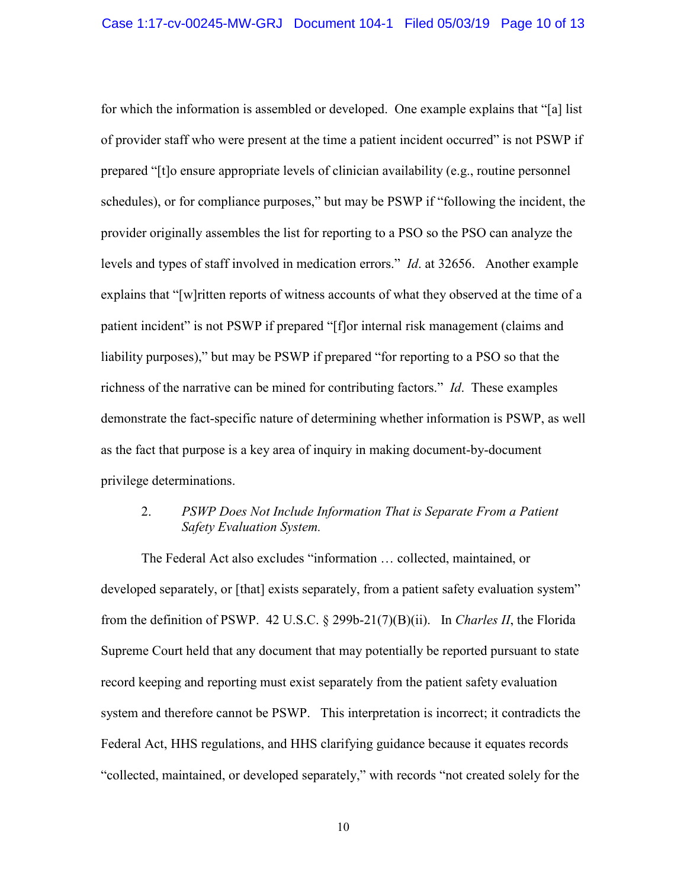for which the information is assembled or developed. One example explains that "[a] list of provider staff who were present at the time a patient incident occurred" is not PSWP if prepared "[t]o ensure appropriate levels of clinician availability (e.g., routine personnel schedules), or for compliance purposes," but may be PSWP if "following the incident, the provider originally assembles the list for reporting to a PSO so the PSO can analyze the levels and types of staff involved in medication errors." *Id*. at 32656. Another example explains that "[w]ritten reports of witness accounts of what they observed at the time of a patient incident" is not PSWP if prepared "[f]or internal risk management (claims and liability purposes)," but may be PSWP if prepared "for reporting to a PSO so that the richness of the narrative can be mined for contributing factors." *Id*. These examples demonstrate the fact-specific nature of determining whether information is PSWP, as well as the fact that purpose is a key area of inquiry in making document-by-document privilege determinations.

## 2. *PSWP Does Not Include Information That is Separate From a Patient Safety Evaluation System.*

The Federal Act also excludes "information … collected, maintained, or developed separately, or [that] exists separately, from a patient safety evaluation system" from the definition of PSWP. 42 U.S.C. § 299b-21(7)(B)(ii). In *Charles II*, the Florida Supreme Court held that any document that may potentially be reported pursuant to state record keeping and reporting must exist separately from the patient safety evaluation system and therefore cannot be PSWP. This interpretation is incorrect; it contradicts the Federal Act, HHS regulations, and HHS clarifying guidance because it equates records "collected, maintained, or developed separately," with records "not created solely for the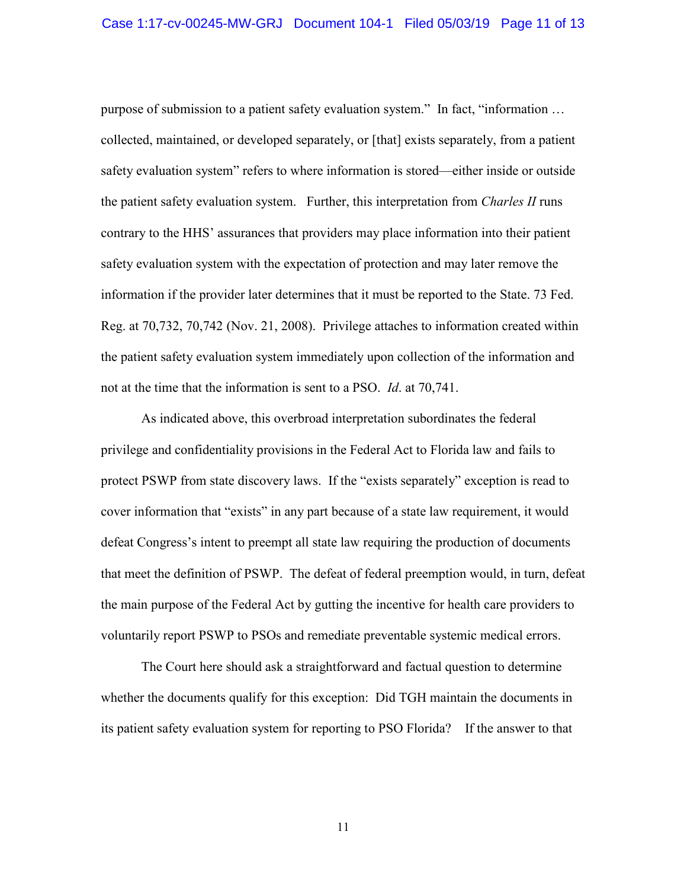purpose of submission to a patient safety evaluation system." In fact, "information … collected, maintained, or developed separately, or [that] exists separately, from a patient safety evaluation system" refers to where information is stored—either inside or outside the patient safety evaluation system. Further, this interpretation from *Charles II* runs contrary to the HHS' assurances that providers may place information into their patient safety evaluation system with the expectation of protection and may later remove the information if the provider later determines that it must be reported to the State. 73 Fed. Reg. at 70,732, 70,742 (Nov. 21, 2008). Privilege attaches to information created within the patient safety evaluation system immediately upon collection of the information and not at the time that the information is sent to a PSO. *Id*. at 70,741.

As indicated above, this overbroad interpretation subordinates the federal privilege and confidentiality provisions in the Federal Act to Florida law and fails to protect PSWP from state discovery laws. If the "exists separately" exception is read to cover information that "exists" in any part because of a state law requirement, it would defeat Congress's intent to preempt all state law requiring the production of documents that meet the definition of PSWP. The defeat of federal preemption would, in turn, defeat the main purpose of the Federal Act by gutting the incentive for health care providers to voluntarily report PSWP to PSOs and remediate preventable systemic medical errors.

The Court here should ask a straightforward and factual question to determine whether the documents qualify for this exception: Did TGH maintain the documents in its patient safety evaluation system for reporting to PSO Florida? If the answer to that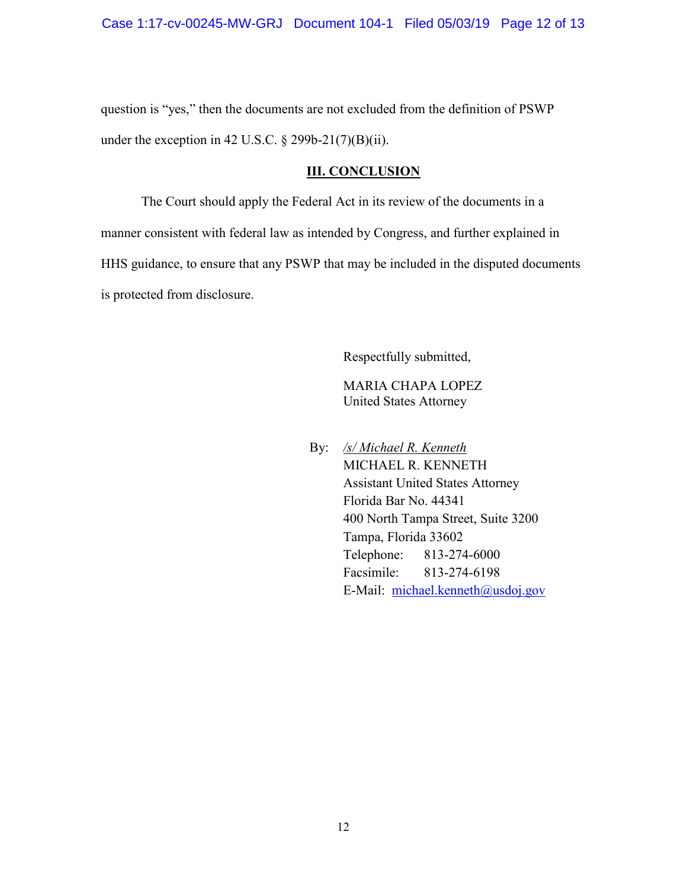question is "yes," then the documents are not excluded from the definition of PSWP under the exception in 42 U.S.C.  $\S$  299b-21(7)(B)(ii).

## **III. CONCLUSION**

The Court should apply the Federal Act in its review of the documents in a manner consistent with federal law as intended by Congress, and further explained in HHS guidance, to ensure that any PSWP that may be included in the disputed documents is protected from disclosure.

Respectfully submitted,

 MARIA CHAPA LOPEZ United States Attorney

 By: */s/ Michael R. Kenneth* MICHAEL R. KENNETH Assistant United States Attorney Florida Bar No. 44341 400 North Tampa Street, Suite 3200 Tampa, Florida 33602 Telephone: 813-274-6000 Facsimile: 813-274-6198 E-Mail: michael.kenneth@usdoj.gov